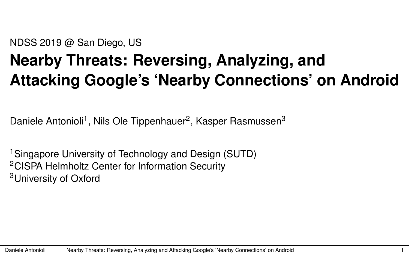#### NDSS 2019 @ San Diego, US

## **Nearby Threats: Reversing, Analyzing, and Attacking Google's 'Nearby Connections' on Android**

Daniele Antonioli<sup>1</sup>, Nils Ole Tippenhauer<sup>2</sup>, Kasper Rasmussen<sup>3</sup>

<sup>1</sup>Singapore University of Technology and Design (SUTD) <sup>2</sup>CISPA Helmholtz Center for Information Security <sup>3</sup>University of Oxford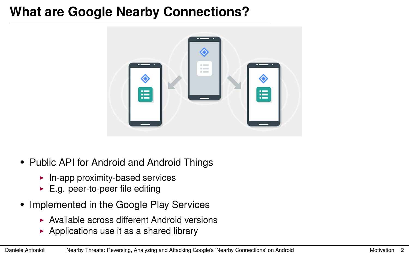#### <span id="page-1-0"></span>**What are Google Nearby Connections?**



- Public API for Android and Android Things
	- $\blacktriangleright$  In-app proximity-based services
	- $\blacktriangleright$  E.g. peer-to-peer file editing
- Implemented in the Google Play Services
	- $\triangleright$  Available across different Android versions
	- $\triangleright$  Applications use it as a shared library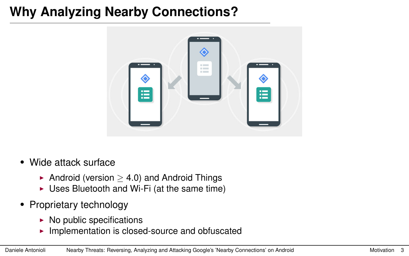## **Why Analyzing Nearby Connections?**



- Wide attack surface
	- Android (version  $>$  4.0) and Android Things
	- $\triangleright$  Uses Bluetooth and Wi-Fi (at the same time)
- Proprietary technology
	- $\triangleright$  No public specifications
	- $\blacktriangleright$  Implementation is closed-source and obfuscated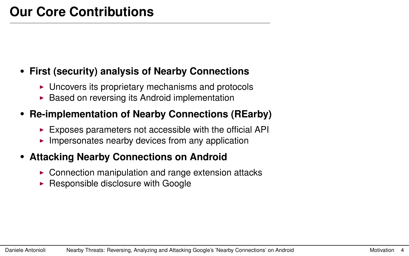#### • **First (security) analysis of Nearby Connections**

- $\triangleright$  Uncovers its proprietary mechanisms and protocols
- $\triangleright$  Based on reversing its Android implementation

#### • **Re-implementation of Nearby Connections (REarby)**

- $\blacktriangleright$  Exposes parameters not accessible with the official API
- $\blacktriangleright$  Impersonates nearby devices from any application

#### • **Attacking Nearby Connections on Android**

- $\triangleright$  Connection manipulation and range extension attacks
- $\blacktriangleright$  Responsible disclosure with Google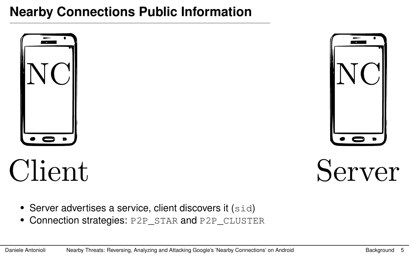## <span id="page-4-0"></span>**Nearby Connections Public Information**





# Client

Server

- Server advertises a service, client discovers it (sid)
- Connection strategies: P2P\_STAR and P2P\_CLUSTER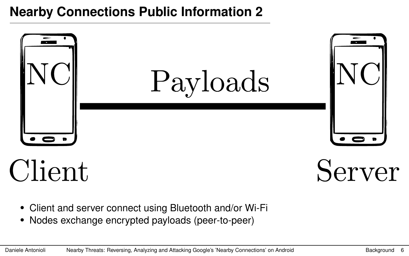### **Nearby Connections Public Information 2**



- Client and server connect using Bluetooth and/or Wi-Fi
- Nodes exchange encrypted payloads (peer-to-peer)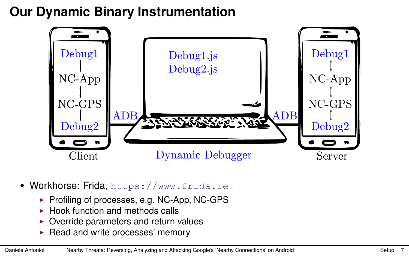## <span id="page-6-0"></span>**Our Dynamic Binary Instrumentation**



- Workhorse: Frida, <https://www.frida.re>
	- $\triangleright$  Profiling of processes, e.g. NC-App, NC-GPS
	- $\blacktriangleright$  Hook function and methods calls
	- $\triangleright$  Override parameters and return values
	- $\blacktriangleright$  Read and write processes' memory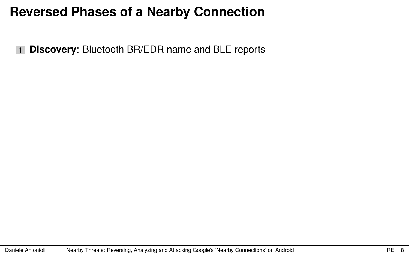1 **Discovery**: Bluetooth BR/EDR name and BLE reports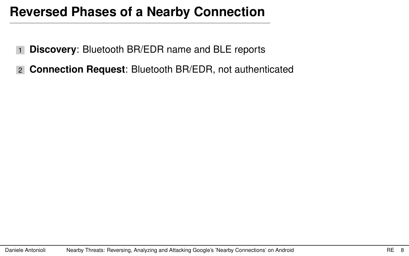- 1 **Discovery**: Bluetooth BR/EDR name and BLE reports
- 2 **Connection Request**: Bluetooth BR/EDR, not authenticated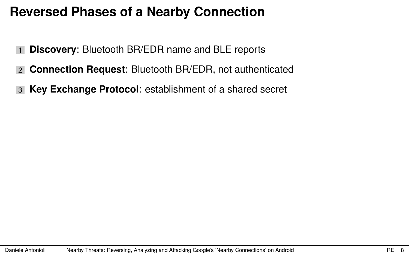- 1 **Discovery**: Bluetooth BR/EDR name and BLE reports
- 2 **Connection Request**: Bluetooth BR/EDR, not authenticated
- 3 **Key Exchange Protocol**: establishment of a shared secret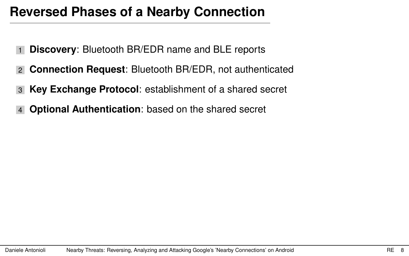- **Discovery**: Bluetooth BR/EDR name and BLE reports
- **Connection Request**: Bluetooth BR/EDR, not authenticated
- **Key Exchange Protocol**: establishment of a shared secret
- **Optional Authentication**: based on the shared secret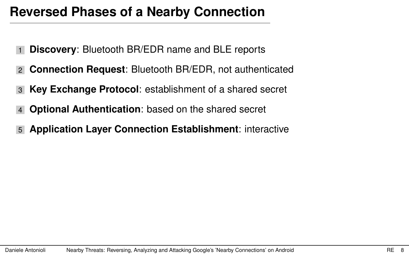- **Discovery:** Bluetooth BR/EDR name and BLE reports
- 2 **Connection Request**: Bluetooth BR/EDR, not authenticated
- 3 **Key Exchange Protocol**: establishment of a shared secret
- 4 **Optional Authentication**: based on the shared secret
- 5 **Application Layer Connection Establishment**: interactive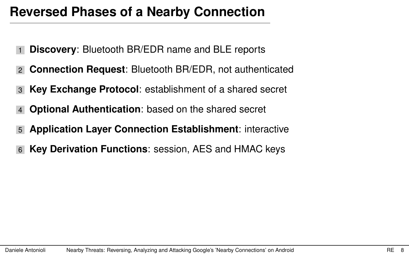- **Discovery:** Bluetooth BR/EDR name and BLE reports
- 2 **Connection Request**: Bluetooth BR/EDR, not authenticated
- 3 **Key Exchange Protocol**: establishment of a shared secret
- **Optional Authentication:** based on the shared secret
- 5 **Application Layer Connection Establishment**: interactive
- **Key Derivation Functions: session, AES and HMAC keys**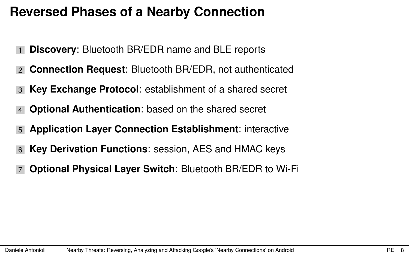- **Discovery:** Bluetooth BR/EDR name and BLE reports
- 2 **Connection Request**: Bluetooth BR/EDR, not authenticated
- 3 **Key Exchange Protocol**: establishment of a shared secret
- **Optional Authentication:** based on the shared secret
- 5 **Application Layer Connection Establishment**: interactive
- **Key Derivation Functions: session, AES and HMAC keys**
- 7 **Optional Physical Layer Switch**: Bluetooth BR/EDR to Wi-Fi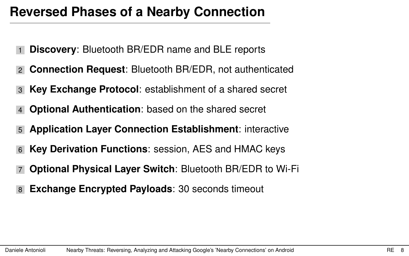- **Discovery:** Bluetooth BR/EDR name and BLE reports
- 2 **Connection Request**: Bluetooth BR/EDR, not authenticated
- 3 **Key Exchange Protocol**: establishment of a shared secret
- **Optional Authentication:** based on the shared secret
- 5 **Application Layer Connection Establishment**: interactive
- **Key Derivation Functions: session, AES and HMAC keys**
- 7 **Optional Physical Layer Switch**: Bluetooth BR/EDR to Wi-Fi
- **Exchange Encrypted Payloads: 30 seconds timeout**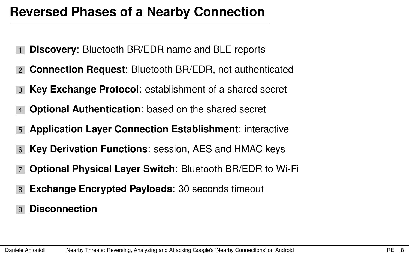- **Discovery:** Bluetooth BR/EDR name and BLE reports
- 2 **Connection Request**: Bluetooth BR/EDR, not authenticated
- 3 **Key Exchange Protocol**: establishment of a shared secret
- **Optional Authentication:** based on the shared secret
- 5 **Application Layer Connection Establishment**: interactive
- **Key Derivation Functions: session, AES and HMAC keys**
- 7 **Optional Physical Layer Switch**: Bluetooth BR/EDR to Wi-Fi
- 8 **Exchange Encrypted Payloads**: 30 seconds timeout
- 9 **Disconnection**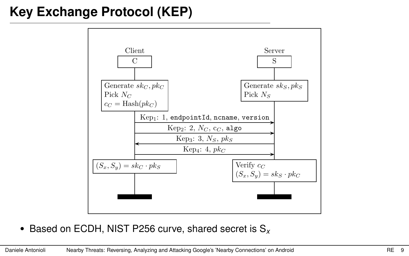## **Key Exchange Protocol (KEP)**



• Based on ECDH, NIST P256 curve, shared secret is S*<sup>x</sup>*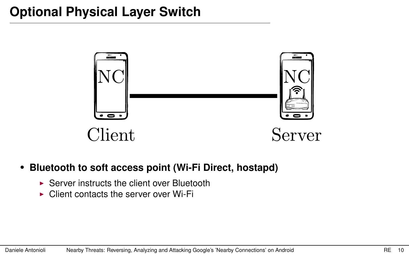

- **Bluetooth to soft access point (Wi-Fi Direct, hostapd)**
	- $\triangleright$  Server instructs the client over Bluetooth
	- $\triangleright$  Client contacts the server over Wi-Fi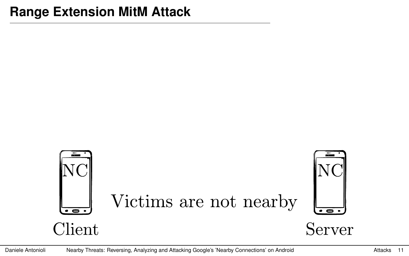#### <span id="page-19-0"></span>**Range Extension MitM Attack**

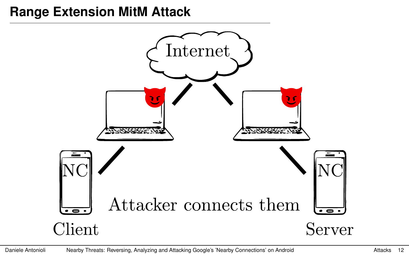### **Range Extension MitM Attack**

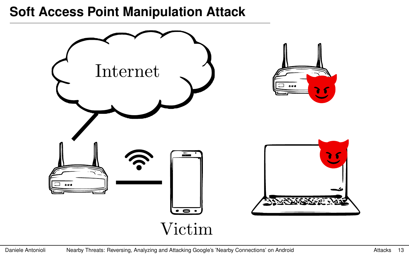#### **Soft Access Point Manipulation Attack**

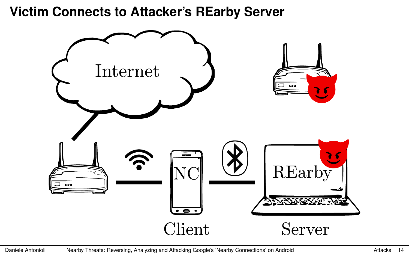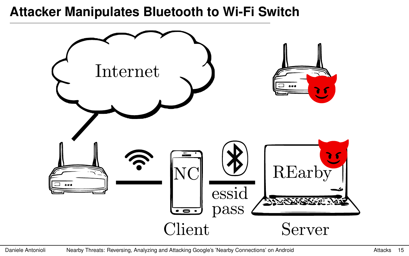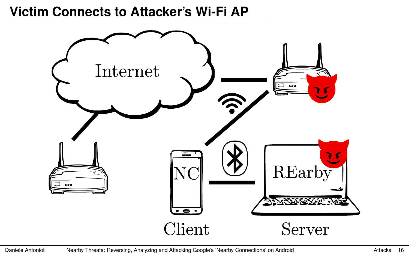#### **Victim Connects to Attacker's Wi-Fi AP**

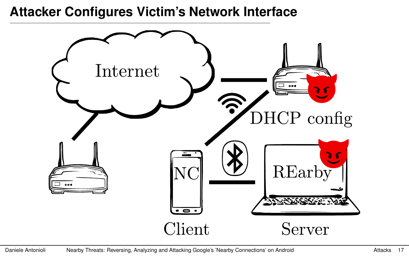#### **Attacker Configures Victim's Network Interface**

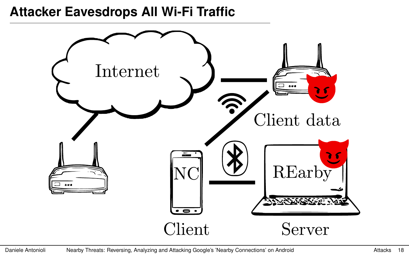#### **Attacker Eavesdrops All Wi-Fi Traffic**

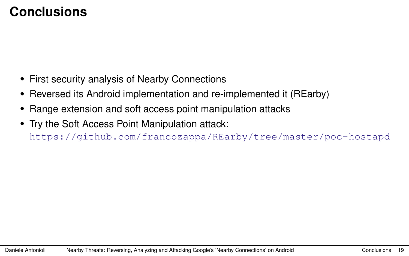- <span id="page-27-0"></span>• First security analysis of Nearby Connections
- Reversed its Android implementation and re-implemented it (REarby)
- Range extension and soft access point manipulation attacks
- Try the Soft Access Point Manipulation attack: <https://github.com/francozappa/REarby/tree/master/poc-hostapd>